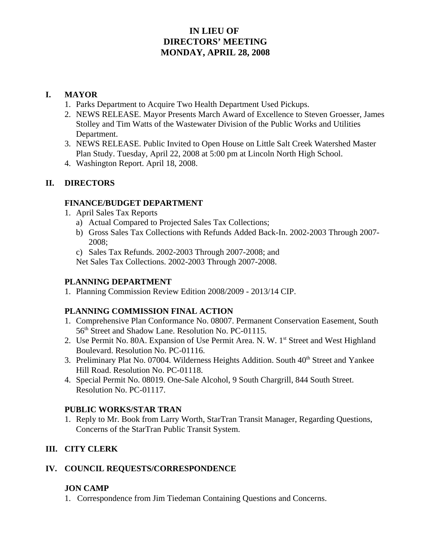## **IN LIEU OF DIRECTORS' MEETING MONDAY, APRIL 28, 2008**

## **I. MAYOR**

- 1. Parks Department to Acquire Two Health Department Used Pickups.
- 2. NEWS RELEASE. Mayor Presents March Award of Excellence to Steven Groesser, James Stolley and Tim Watts of the Wastewater Division of the Public Works and Utilities Department.
- 3. NEWS RELEASE. Public Invited to Open House on Little Salt Creek Watershed Master Plan Study. Tuesday, April 22, 2008 at 5:00 pm at Lincoln North High School.
- 4. Washington Report. April 18, 2008.

## **II. DIRECTORS**

## **FINANCE/BUDGET DEPARTMENT**

- 1. April Sales Tax Reports
	- a) Actual Compared to Projected Sales Tax Collections;
	- b) Gross Sales Tax Collections with Refunds Added Back-In. 2002-2003 Through 2007- 2008;
	- c) Sales Tax Refunds. 2002-2003 Through 2007-2008; and

Net Sales Tax Collections. 2002-2003 Through 2007-2008.

#### **PLANNING DEPARTMENT**

1. Planning Commission Review Edition 2008/2009 - 2013/14 CIP.

## **PLANNING COMMISSION FINAL ACTION**

- 1. Comprehensive Plan Conformance No. 08007. Permanent Conservation Easement, South 56<sup>th</sup> Street and Shadow Lane. Resolution No. PC-01115.
- 2. Use Permit No. 80A. Expansion of Use Permit Area. N. W. 1<sup>st</sup> Street and West Highland Boulevard. Resolution No. PC-01116.
- 3. Preliminary Plat No. 07004. Wilderness Heights Addition. South 40<sup>th</sup> Street and Yankee Hill Road. Resolution No. PC-01118.
- 4. Special Permit No. 08019. One-Sale Alcohol, 9 South Chargrill, 844 South Street. Resolution No. PC-01117.

## **PUBLIC WORKS/STAR TRAN**

1. Reply to Mr. Book from Larry Worth, StarTran Transit Manager, Regarding Questions, Concerns of the StarTran Public Transit System.

# **III. CITY CLERK**

## **IV. COUNCIL REQUESTS/CORRESPONDENCE**

## **JON CAMP**

1. Correspondence from Jim Tiedeman Containing Questions and Concerns.